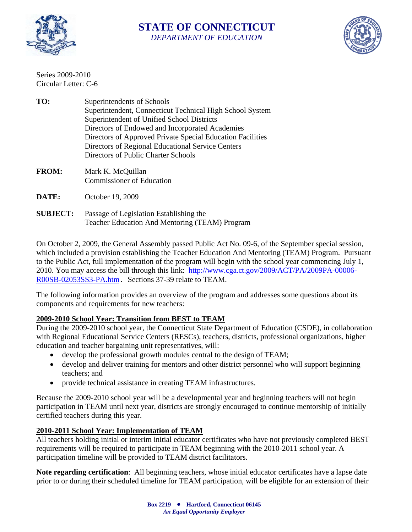

## **STATE OF CONNECTICUT**  *DEPARTMENT OF EDUCATION*



Series 2009-2010 Circular Letter: C-6

- **TO:** Superintendents of Schools Superintendent, Connecticut Technical High School System Superintendent of Unified School Districts Directors of Endowed and Incorporated Academies Directors of Approved Private Special Education Facilities Directors of Regional Educational Service Centers Directors of Public Charter Schools
- **FROM:** Mark K. McQuillan Commissioner of Education
- **DATE:** October 19, 2009
- **SUBJECT:** Passage of Legislation Establishing the Teacher Education And Mentoring (TEAM) Program

On October 2, 2009, the General Assembly passed Public Act No. 09-6, of the September special session, which included a provision establishing the Teacher Education And Mentoring (TEAM) Program. Pursuant to the Public Act, full implementation of the program will begin with the school year commencing July 1, 2010. You may access the bill through this link: [http://www.cga.ct.gov/2009/ACT/PA/2009PA-00006-](http://www.cga.ct.gov/2009/ACT/PA/2009PA-00006-R00SB-02053SS3-PA.htm) [R00SB-02053SS3-PA.htm](http://www.cga.ct.gov/2009/ACT/PA/2009PA-00006-R00SB-02053SS3-PA.htm). Sections 37-39 relate to TEAM.

The following information provides an overview of the program and addresses some questions about its components and requirements for new teachers:

## **2009-2010 School Year: Transition from BEST to TEAM**

During the 2009-2010 school year, the Connecticut State Department of Education (CSDE), in collaboration with Regional Educational Service Centers (RESCs), teachers, districts, professional organizations, higher education and teacher bargaining unit representatives, will:

- develop the professional growth modules central to the design of TEAM;
- develop and deliver training for mentors and other district personnel who will support beginning teachers; and
- provide technical assistance in creating TEAM infrastructures.

Because the 2009-2010 school year will be a developmental year and beginning teachers will not begin participation in TEAM until next year, districts are strongly encouraged to continue mentorship of initially certified teachers during this year.

## **2010-2011 School Year: Implementation of TEAM**

All teachers holding initial or interim initial educator certificates who have not previously completed BEST requirements will be required to participate in TEAM beginning with the 2010-2011 school year. A participation timeline will be provided to TEAM district facilitators.

**Note regarding certification**: All beginning teachers, whose initial educator certificates have a lapse date prior to or during their scheduled timeline for TEAM participation, will be eligible for an extension of their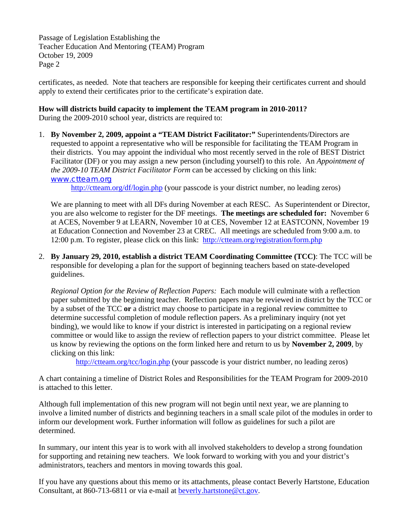Passage of Legislation Establishing the Teacher Education And Mentoring (TEAM) Program October 19, 2009 Page 2

certificates, as needed. Note that teachers are responsible for keeping their certificates current and should apply to extend their certificates prior to the certificate's expiration date.

## **How will districts build capacity to implement the TEAM program in 2010-2011?**

During the 2009-2010 school year, districts are required to:

1. **By November 2, 2009, appoint a "TEAM District Facilitator:"** Superintendents/Directors are requested to appoint a representative who will be responsible for facilitating the TEAM Program in their districts. You may appoint the individual who most recently served in the role of BEST District Facilitator (DF) or you may assign a new person (including yourself) to this role. An *Appointment of the 2009-10 TEAM District Facilitator Form* can be accessed by clicking on this link: www.ctteam.org

<http://ctteam.org/df/login.php>(your passcode is your district number, no leading zeros)

We are planning to meet with all DFs during November at each RESC. As Superintendent or Director, you are also welcome to register for the DF meetings. **The meetings are scheduled for:** November 6 at ACES, November 9 at LEARN, November 10 at CES, November 12 at EASTCONN, November 19 at Education Connection and November 23 at CREC. All meetings are scheduled from 9:00 a.m. to 12:00 p.m. To register, please click on this link: <http://ctteam.org/registration/form.php>

2. **By January 29, 2010, establish a district TEAM Coordinating Committee (TCC)**: The TCC will be responsible for developing a plan for the support of beginning teachers based on state-developed guidelines.

*Regional Option for the Review of Reflection Papers:* Each module will culminate with a reflection paper submitted by the beginning teacher. Reflection papers may be reviewed in district by the TCC or by a subset of the TCC **or** a district may choose to participate in a regional review committee to determine successful completion of module reflection papers. As a preliminary inquiry (not yet binding), we would like to know if your district is interested in participating on a regional review committee or would like to assign the review of reflection papers to your district committee. Please let us know by reviewing the options on the form linked here and return to us by **November 2, 2009**, by clicking on this link:

<http://ctteam.org/tcc/login.php> (your passcode is your district number, no leading zeros)

A chart containing a timeline of District Roles and Responsibilities for the TEAM Program for 2009-2010 is attached to this letter.

Although full implementation of this new program will not begin until next year, we are planning to involve a limited number of districts and beginning teachers in a small scale pilot of the modules in order to inform our development work. Further information will follow as guidelines for such a pilot are determined.

In summary, our intent this year is to work with all involved stakeholders to develop a strong foundation for supporting and retaining new teachers. We look forward to working with you and your district's administrators, teachers and mentors in moving towards this goal.

If you have any questions about this memo or its attachments, please contact Beverly Hartstone, Education Consultant, at 860-713-6811 or via e-mail at [beverly.hartstone@ct.gov.](mailto:beverly.hartstone@ct.gov)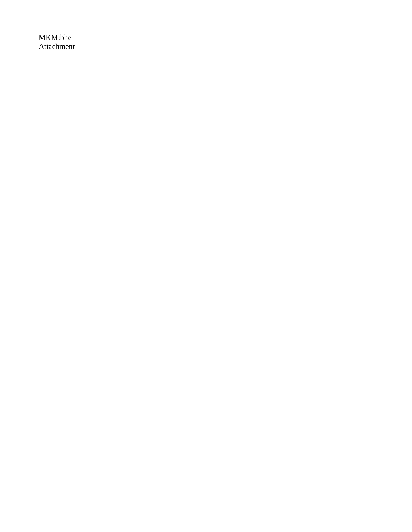MKM:bhe Attachment